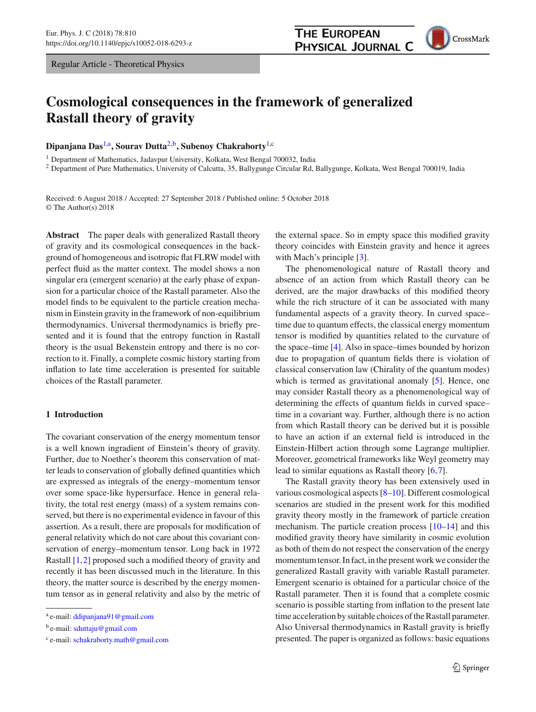CrossMark

# **Cosmological consequences in the framework of generalized Rastall theory of gravity**

**Dipanjana Das**[1,](#page-0-0)a**, Sourav Dutta**[2,](#page-0-0)b**, Subenoy Chakraborty**[1,](#page-0-0)c

<sup>1</sup> Department of Mathematics, Jadavpur University, Kolkata, West Bengal 700032, India

<sup>2</sup> Department of Pure Mathematics, University of Calcutta, 35, Ballygunge Circular Rd, Ballygunge, Kolkata, West Bengal 700019, India

Received: 6 August 2018 / Accepted: 27 September 2018 / Published online: 5 October 2018 © The Author(s) 2018

**Abstract** The paper deals with generalized Rastall theory of gravity and its cosmological consequences in the background of homogeneous and isotropic flat FLRW model with perfect fluid as the matter context. The model shows a non singular era (emergent scenario) at the early phase of expansion for a particular choice of the Rastall parameter. Also the model finds to be equivalent to the particle creation mechanism in Einstein gravity in the framework of non-equilibrium thermodynamics. Universal thermodynamics is briefly presented and it is found that the entropy function in Rastall theory is the usual Bekenstein entropy and there is no correction to it. Finally, a complete cosmic history starting from inflation to late time acceleration is presented for suitable choices of the Rastall parameter.

## **1 Introduction**

The covariant conservation of the energy momentum tensor is a well known ingradient of Einstein's theory of gravity. Further, due to Noether's theorem this conservation of matter leads to conservation of globally defined quantities which are expressed as integrals of the energy–momentum tensor over some space-like hypersurface. Hence in general relativity, the total rest energy (mass) of a system remains conserved, but there is no experimental evidence in favour of this assertion. As a result, there are proposals for modification of general relativity which do not care about this covariant conservation of energy–momentum tensor. Long back in 1972 Rastall [\[1](#page-6-0)[,2](#page-6-1)] proposed such a modified theory of gravity and recently it has been discussed much in the literature. In this theory, the matter source is described by the energy momentum tensor as in general relativity and also by the metric of <span id="page-0-0"></span>the external space. So in empty space this modified gravity theory coincides with Einstein gravity and hence it agrees with Mach's principle [\[3](#page-6-2)].

The phenomenological nature of Rastall theory and absence of an action from which Rastall theory can be derived, are the major drawbacks of this modified theory while the rich structure of it can be associated with many fundamental aspects of a gravity theory. In curved space– time due to quantum effects, the classical energy momentum tensor is modified by quantities related to the curvature of the space–time [\[4\]](#page-6-3). Also in space–times bounded by horizon due to propagation of quantum fields there is violation of classical conservation law (Chirality of the quantum modes) which is termed as gravitational anomaly [\[5\]](#page-6-4). Hence, one may consider Rastall theory as a phenomenological way of determining the effects of quantum fields in curved space– time in a covariant way. Further, although there is no action from which Rastall theory can be derived but it is possible to have an action if an external field is introduced in the Einstein-Hilbert action through some Lagrange multiplier. Moreover, geometrical frameworks like Weyl geometry may lead to similar equations as Rastall theory [\[6,](#page-6-5)[7\]](#page-6-6).

The Rastall gravity theory has been extensively used in various cosmological aspects [\[8](#page-6-7)[–10\]](#page-6-8). Different cosmological scenarios are studied in the present work for this modified gravity theory mostly in the framework of particle creation mechanism. The particle creation process [\[10](#page-6-8)[–14\]](#page-6-9) and this modified gravity theory have similarity in cosmic evolution as both of them do not respect the conservation of the energy momentum tensor. In fact, in the present work we consider the generalized Rastall gravity with variable Rastall parameter. Emergent scenario is obtained for a particular choice of the Rastall parameter. Then it is found that a complete cosmic scenario is possible starting from inflation to the present late time acceleration by suitable choices of the Rastall parameter. Also Universal thermodynamics in Rastall gravity is briefly presented. The paper is organized as follows: basic equations

<sup>a</sup> e-mail: [ddipanjana91@gmail.com](mailto:ddipanjana91@gmail.com)

<sup>b</sup> e-mail: [sduttaju@gmail.com](mailto:sduttaju@gmail.com)

<sup>c</sup> e-mail: [schakraborty.math@gmail.com](mailto:schakraborty.math@gmail.com)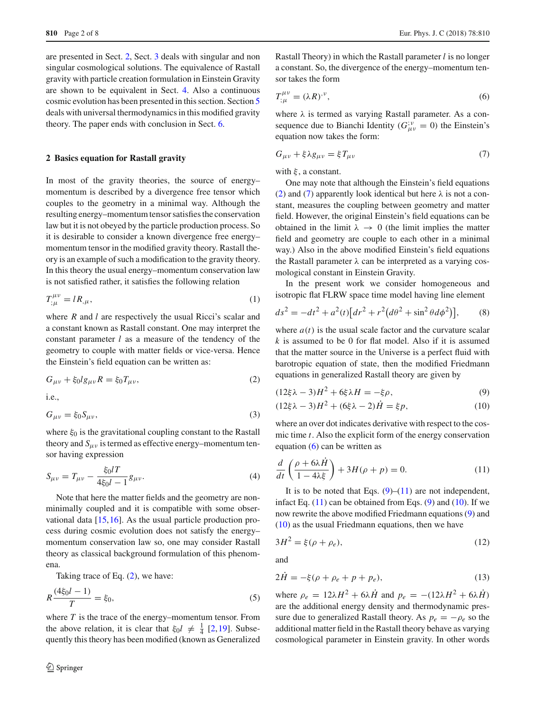are presented in Sect. [2,](#page-1-0) Sect. [3](#page-2-0) deals with singular and non singular cosmological solutions. The equivalence of Rastall gravity with particle creation formulation in Einstein Gravity are shown to be equivalent in Sect. [4.](#page-2-1) Also a continuous cosmic evolution has been presented in this section. Section [5](#page-3-0) deals with universal thermodynamics in this modified gravity theory. The paper ends with conclusion in Sect. [6.](#page-5-0)

#### <span id="page-1-0"></span>**2 Basics equation for Rastall gravity**

In most of the gravity theories, the source of energy– momentum is described by a divergence free tensor which couples to the geometry in a minimal way. Although the resulting energy–momentum tensor satisfies the conservation law but it is not obeyed by the particle production process. So it is desirable to consider a known divergence free energy– momentum tensor in the modified gravity theory. Rastall theory is an example of such a modification to the gravity theory. In this theory the usual energy–momentum conservation law is not satisfied rather, it satisfies the following relation

$$
T_{;\mu}^{\mu\nu} = lR_{,\mu},\tag{1}
$$

where *R* and *l* are respectively the usual Ricci's scalar and a constant known as Rastall constant. One may interpret the constant parameter *l* as a measure of the tendency of the geometry to couple with matter fields or vice-versa. Hence the Einstein's field equation can be written as:

<span id="page-1-1"></span>
$$
G_{\mu\nu} + \xi_0 l g_{\mu\nu} R = \xi_0 T_{\mu\nu},\tag{2}
$$

i.e.,

$$
G_{\mu\nu} = \xi_0 S_{\mu\nu},\tag{3}
$$

where  $\xi_0$  is the gravitational coupling constant to the Rastall theory and  $S_{\mu\nu}$  is termed as effective energy–momentum tensor having expression

$$
S_{\mu\nu} = T_{\mu\nu} - \frac{\xi_0 lT}{4\xi_0 l - 1} g_{\mu\nu}.
$$
 (4)

Note that here the matter fields and the geometry are nonminimally coupled and it is compatible with some observational data [\[15,](#page-6-10)[16\]](#page-6-11). As the usual particle production process during cosmic evolution does not satisfy the energy– momentum conservation law so, one may consider Rastall theory as classical background formulation of this phenomena.

Taking trace of Eq. [\(2\)](#page-1-1), we have:

$$
R\frac{(4\xi_0 l - 1)}{T} = \xi_0,\tag{5}
$$

where *T* is the trace of the energy–momentum tensor. From the above relation, it is clear that  $\xi_0 l \neq \frac{1}{4}$  [\[2](#page-6-1),[19\]](#page-6-12). Subsequently this theory has been modified (known as Generalized

Rastall Theory) in which the Rastall parameter *l* is no longer a constant. So, the divergence of the energy–momentum tensor takes the form

<span id="page-1-3"></span>
$$
T_{;\mu}^{\mu\nu} = (\lambda R)^{,\nu},\tag{6}
$$

where  $\lambda$  is termed as varying Rastall parameter. As a consequence due to Bianchi Identity ( $G_{\mu\nu}^{;\nu} = 0$ ) the Einstein's equation now takes the form:

<span id="page-1-2"></span>
$$
G_{\mu\nu} + \xi \lambda g_{\mu\nu} = \xi T_{\mu\nu} \tag{7}
$$

with  $\xi$ , a constant.

One may note that although the Einstein's field equations [\(2\)](#page-1-1) and [\(7\)](#page-1-2) apparently look identical but here  $\lambda$  is not a constant, measures the coupling between geometry and matter field. However, the original Einstein's field equations can be obtained in the limit  $\lambda \rightarrow 0$  (the limit implies the matter field and geometry are couple to each other in a minimal way.) Also in the above modified Einstein's field equations the Rastall parameter  $\lambda$  can be interpreted as a varying cosmological constant in Einstein Gravity.

In the present work we consider homogeneous and isotropic flat FLRW space time model having line element

$$
ds^{2} = -dt^{2} + a^{2}(t)[dr^{2} + r^{2}(d\theta^{2} + \sin^{2}\theta d\phi^{2})],
$$
 (8)

where  $a(t)$  is the usual scale factor and the curvature scalar *k* is assumed to be 0 for flat model. Also if it is assumed that the matter source in the Universe is a perfect fluid with barotropic equation of state, then the modified Friedmann equations in generalized Rastall theory are given by

<span id="page-1-4"></span>
$$
(12\xi\lambda - 3)H^2 + 6\xi\lambda H = -\xi\rho,\tag{9}
$$

$$
(12\xi\lambda - 3)H^2 + (6\xi\lambda - 2)\dot{H} = \xi p,\t(10)
$$

where an over dot indicates derivative with respect to the cosmic time *t*. Also the explicit form of the energy conservation equation [\(6\)](#page-1-3) can be written as

<span id="page-1-5"></span>
$$
\frac{d}{dt}\left(\frac{\rho + 6\lambda \dot{H}}{1 - 4\lambda \xi}\right) + 3H(\rho + p) = 0.
$$
\n(11)

It is to be noted that Eqs.  $(9)$ – $(11)$  are not independent, infact Eq.  $(11)$  can be obtained from Eqs.  $(9)$  and  $(10)$ . If we now rewrite the above modified Friedmann equations [\(9\)](#page-1-4) and [\(10\)](#page-1-4) as the usual Friedmann equations, then we have

$$
3H^2 = \xi(\rho + \rho_e),\tag{12}
$$

and

$$
2\dot{H} = -\xi(\rho + \rho_e + p + p_e),
$$
 (13)

where  $\rho_e = 12\lambda H^2 + 6\lambda \dot{H}$  and  $p_e = -(12\lambda H^2 + 6\lambda \dot{H})$ are the additional energy density and thermodynamic pressure due to generalized Rastall theory. As  $p_e = -\rho_e$  so the additional matter field in the Rastall theory behave as varying cosmological parameter in Einstein gravity. In other words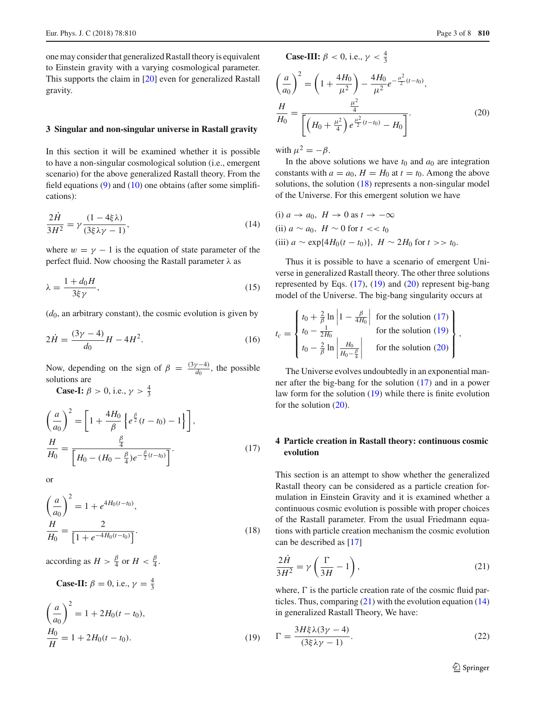one may consider that generalized Rastall theory is equivalent to Einstein gravity with a varying cosmological parameter. This supports the claim in [\[20](#page-6-13)] even for generalized Rastall gravity.

#### <span id="page-2-0"></span>**3 Singular and non-singular universe in Rastall gravity**

In this section it will be examined whether it is possible to have a non-singular cosmological solution (i.e., emergent scenario) for the above generalized Rastall theory. From the field equations  $(9)$  and  $(10)$  one obtains (after some simplifications):

<span id="page-2-7"></span>
$$
\frac{2\dot{H}}{3H^2} = \gamma \frac{(1 - 4\xi\lambda)}{(3\xi\lambda\gamma - 1)},\tag{14}
$$

where  $w = \gamma - 1$  is the equation of state parameter of the perfect fluid. Now choosing the Rastall parameter  $\lambda$  as

$$
\lambda = \frac{1 + d_0 H}{3\xi \gamma},\tag{15}
$$

 $(d_0)$ , an arbitrary constant), the cosmic evolution is given by

$$
2\dot{H} = \frac{(3\gamma - 4)}{d_0}H - 4H^2.
$$
 (16)

Now, depending on the sign of  $\beta = \frac{(3\gamma - 4)}{d_0}$ , the possible solutions are

**Case-I:**  $\beta > 0$ , i.e.,  $\gamma > \frac{4}{3}$ 

<span id="page-2-3"></span>
$$
\left(\frac{a}{a_0}\right)^2 = \left[1 + \frac{4H_0}{\beta} \left\{e^{\frac{\beta}{2}}(t - t_0) - 1\right\}\right],
$$
\n
$$
\frac{H}{H_0} = \frac{\frac{\beta}{4}}{\left[H_0 - (H_0 - \frac{\beta}{4})e^{-\frac{\beta}{2}(t - t_0)}\right]}.
$$
\n(17)

or

<span id="page-2-2"></span>
$$
\left(\frac{a}{a_0}\right)^2 = 1 + e^{4H_0(t-t_0)},
$$
  
\n
$$
\frac{H}{H_0} = \frac{2}{\left[1 + e^{-4H_0(t-t_0)}\right]}.
$$
\n(18)

according as  $H > \frac{\beta}{4}$  or  $H < \frac{\beta}{4}$ .

<span id="page-2-4"></span>Case-II: 
$$
\beta = 0
$$
, i.e.,  $\gamma = \frac{4}{3}$   
\n
$$
\left(\frac{a}{a_0}\right)^2 = 1 + 2H_0(t - t_0),
$$
\n
$$
\frac{H_0}{H} = 1 + 2H_0(t - t_0).
$$
\n(19)

**Case-III:**  $\beta < 0$ , i.e.,  $\gamma < \frac{4}{3}$ 

<span id="page-2-5"></span>
$$
\left(\frac{a}{a_0}\right)^2 = \left(1 + \frac{4H_0}{\mu^2}\right) - \frac{4H_0}{\mu^2} e^{-\frac{\mu^2}{2}(t - t_0)},
$$
\n
$$
\frac{H}{H_0} = \frac{\frac{\mu^2}{4}}{\left[\left(H_0 + \frac{\mu^2}{4}\right)e^{\frac{\mu^2}{2}(t - t_0)} - H_0\right]}.
$$
\n(20)

with  $\mu^2 = -\beta$ .

In the above solutions we have  $t_0$  and  $a_0$  are integration constants with  $a = a_0$ ,  $H = H_0$  at  $t = t_0$ . Among the above solutions, the solution [\(18\)](#page-2-2) represents a non-singular model of the Universe. For this emergent solution we have

(i) 
$$
a \rightarrow a_0
$$
,  $H \rightarrow 0$  as  $t \rightarrow -\infty$   
\n(ii)  $a \sim a_0$ ,  $H \sim 0$  for  $t \ll t_0$   
\n(iii)  $a \sim \exp\{4H_0(t - t_0)\}$ ,  $H \sim 2H_0$  for  $t \gg t_0$ .

Thus it is possible to have a scenario of emergent Universe in generalized Rastall theory. The other three solutions represented by Eqs.  $(17)$ ,  $(19)$  and  $(20)$  represent big-bang model of the Universe. The big-bang singularity occurs at

$$
t_c = \begin{cases} t_0 + \frac{2}{\beta} \ln \left| 1 - \frac{\beta}{4H_0} \right| & \text{for the solution (17)}\\ t_0 - \frac{1}{2H_0} & \text{for the solution (19)}\\ t_0 - \frac{2}{\beta} \ln \left| \frac{H_0}{H_0 - \frac{\beta}{4}} \right| & \text{for the solution (20)} \end{cases},
$$

The Universe evolves undoubtedly in an exponential manner after the big-bang for the solution [\(17\)](#page-2-3) and in a power law form for the solution [\(19\)](#page-2-4) while there is finite evolution for the solution [\(20\)](#page-2-5).

# <span id="page-2-1"></span>**4 Particle creation in Rastall theory: continuous cosmic evolution**

This section is an attempt to show whether the generalized Rastall theory can be considered as a particle creation formulation in Einstein Gravity and it is examined whether a continuous cosmic evolution is possible with proper choices of the Rastall parameter. From the usual Friedmann equations with particle creation mechanism the cosmic evolution can be described as [\[17](#page-6-14)]

<span id="page-2-6"></span>
$$
\frac{2\dot{H}}{3H^2} = \gamma \left(\frac{\Gamma}{3H} - 1\right),\tag{21}
$$

where,  $\Gamma$  is the particle creation rate of the cosmic fluid particles. Thus, comparing  $(21)$  with the evolution equation  $(14)$ in generalized Rastall Theory, We have:

<span id="page-2-8"></span>
$$
\Gamma = \frac{3H\xi\lambda(3\gamma - 4)}{(3\xi\lambda\gamma - 1)}.\tag{22}
$$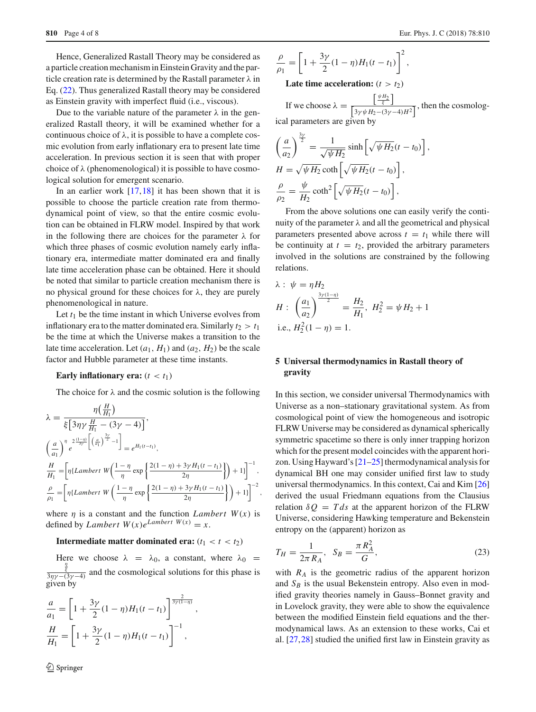Hence, Generalized Rastall Theory may be considered as a particle creation mechanism in Einstein Gravity and the particle creation rate is determined by the Rastall parameter  $\lambda$  in Eq. [\(22\)](#page-2-8). Thus generalized Rastall theory may be considered as Einstein gravity with imperfect fluid (i.e., viscous).

Due to the variable nature of the parameter  $\lambda$  in the generalized Rastall theory, it will be examined whether for a continuous choice of  $\lambda$ , it is possible to have a complete cosmic evolution from early inflationary era to present late time acceleration. In previous section it is seen that with proper choice of  $\lambda$  (phenomenological) it is possible to have cosmological solution for emergent scenario.

In an earlier work  $[17, 18]$  $[17, 18]$  it has been shown that it is possible to choose the particle creation rate from thermodynamical point of view, so that the entire cosmic evolution can be obtained in FLRW model. Inspired by that work in the following there are choices for the parameter  $\lambda$  for which three phases of cosmic evolution namely early inflationary era, intermediate matter dominated era and finally late time acceleration phase can be obtained. Here it should be noted that similar to particle creation mechanism there is no physical ground for these choices for λ, they are purely phenomenological in nature.

Let  $t_1$  be the time instant in which Universe evolves from inflationary era to the matter dominated era. Similarly  $t_2 > t_1$ be the time at which the Universe makes a transition to the late time acceleration. Let  $(a_1, H_1)$  and  $(a_2, H_2)$  be the scale factor and Hubble parameter at these time instants.

#### **Early inflationary era:**  $(t < t_1)$

The choice for  $\lambda$  and the cosmic solution is the following

$$
\lambda = \frac{\eta(\frac{H}{H_1})}{\xi[3\eta \gamma \frac{H}{H_1} - (3\gamma - 4)]},
$$
\n
$$
\left(\frac{a}{a_1}\right)^{\eta} e^{\frac{2(1-\eta)}{3\gamma} \left[\left(\frac{a}{a_1}\right)^{\frac{3\gamma}{2}} - 1\right]} = e^{H_1(t - t_1)},
$$
\n
$$
\frac{H}{H_1} = \left[\eta\{Lambert W\left(\frac{1 - \eta}{\eta} \exp\left\{\frac{2(1 - \eta) + 3\gamma H_1(t - t_1)}{2\eta}\right\}\right) + 1\right]^{-1},
$$
\n
$$
\frac{\rho}{\rho_1} = \left[\eta\{Lambert W\left(\frac{1 - \eta}{\eta} \exp\left\{\frac{2(1 - \eta) + 3\gamma H_1(t - t_1)}{2\eta}\right\}\right) + 1\right]^{-2},
$$

where  $\eta$  is a constant and the function *Lambert*  $W(x)$  is defined by *Lambert*  $W(x)e^{Lambert W(x)} = x$ .

#### **Intermediate matter dominated era:**  $(t_1 < t < t_2)$

Here we choose  $\lambda = \lambda_0$ , a constant, where  $\lambda_0 =$  $\frac{\overline{\xi}}{3\eta y - (3y-4)}$  and the cosmological solutions for this phase is given by

,

$$
\frac{a}{a_1} = \left[1 + \frac{3\gamma}{2}(1 - \eta)H_1(t - t_1)\right]^{\frac{2}{3\gamma(1 - \eta)}}
$$

$$
\frac{H}{H_1} = \left[1 + \frac{3\gamma}{2}(1 - \eta)H_1(t - t_1)\right]^{-1},
$$

Late time acceleration:  $(t > t_2)$ 

If we choose  $\lambda = \frac{\left[\frac{\psi H_2}{\xi}\right]}{\left[\frac{3\psi \mu H_2 - (3\psi)}{\xi}\right]}$  $\frac{L \xi}{\left[3\gamma \psi H_2 - (3\gamma - 4)H^2\right]}$ , then the cosmological parameters are given b

$$
\left(\frac{a}{a_2}\right)^{\frac{3\gamma}{2}} = \frac{1}{\sqrt{\psi H_2}} \sinh\left[\sqrt{\psi H_2}(t - t_0)\right],
$$
  
\n
$$
H = \sqrt{\psi H_2} \coth\left[\sqrt{\psi H_2}(t - t_0)\right],
$$
  
\n
$$
\frac{\rho}{\rho_2} = \frac{\psi}{H_2} \coth^2\left[\sqrt{\psi H_2}(t - t_0)\right],
$$

From the above solutions one can easily verify the continuity of the parameter  $\lambda$  and all the geometrical and physical parameters presented above across  $t = t_1$  while there will be continuity at  $t = t_2$ , provided the arbitrary parameters involved in the solutions are constrained by the following relations.

$$
\lambda: \psi = \eta H_2
$$
  
\n
$$
H: \left(\frac{a_1}{a_2}\right)^{\frac{3\gamma(1-\eta)}{2}} = \frac{H_2}{H_1}, H_2^2 = \psi H_2 + 1
$$
  
\ni.e.,  $H_2^2(1-\eta) = 1$ .

## <span id="page-3-0"></span>**5 Universal thermodynamics in Rastall theory of gravity**

In this section, we consider universal Thermodynamics with Universe as a non–stationary gravitational system. As from cosmological point of view the homogeneous and isotropic FLRW Universe may be considered as dynamical spherically symmetric spacetime so there is only inner trapping horizon which for the present model coincides with the apparent horizon. Using Hayward's [\[21](#page-6-16)[–25\]](#page-7-0) thermodynamical analysis for dynamical BH one may consider unified first law to study universal thermodynamics. In this context, Cai and Kim [\[26\]](#page-7-1) derived the usual Friedmann equations from the Clausius relation  $\delta Q = T ds$  at the apparent horizon of the FLRW Universe, considering Hawking temperature and Bekenstein entropy on the (apparent) horizon as

$$
T_H = \frac{1}{2\pi R_A}, \ \ S_B = \frac{\pi R_A^2}{G}, \tag{23}
$$

with  $R_A$  is the geometric radius of the apparent horizon and  $S_B$  is the usual Bekenstein entropy. Also even in modified gravity theories namely in Gauss–Bonnet gravity and in Lovelock gravity, they were able to show the equivalence between the modified Einstein field equations and the thermodynamical laws. As an extension to these works, Cai et al. [\[27](#page-7-2),[28\]](#page-7-3) studied the unified first law in Einstein gravity as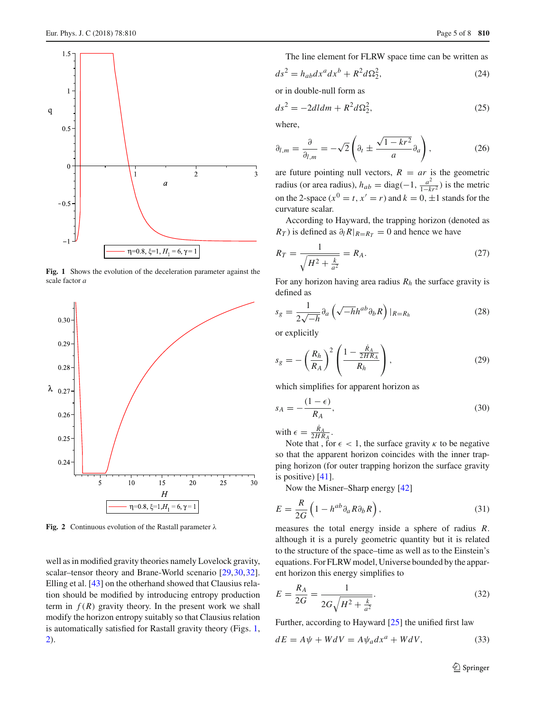

<span id="page-4-0"></span>**Fig. 1** Shows the evolution of the deceleration parameter against the scale factor *a*



<span id="page-4-1"></span>**Fig. 2** Continuous evolution of the Rastall parameter λ

well as in modified gravity theories namely Lovelock gravity, scalar–tensor theory and Brane-World scenario [\[29](#page-7-4)[,30](#page-7-5)[,32](#page-7-6)]. Elling et al. [\[43\]](#page-7-7) on the otherhand showed that Clausius relation should be modified by introducing entropy production term in  $f(R)$  gravity theory. In the present work we shall modify the horizon entropy suitably so that Clausius relation is automatically satisfied for Rastall gravity theory (Figs. [1,](#page-4-0) [2\)](#page-4-1).

The line element for FLRW space time can be written as

$$
ds^2 = h_{ab}dx^a dx^b + R^2 d\Omega_2^2,
$$
\t(24)

or in double-null form as

$$
ds^2 = -2dldm + R^2d\Omega_2^2,\tag{25}
$$

where,

$$
\partial_{l,m} = \frac{\partial}{\partial_{l,m}} = -\sqrt{2} \left( \partial_l \pm \frac{\sqrt{1 - kr^2}}{a} \partial_a \right), \tag{26}
$$

are future pointing null vectors,  $R = ar$  is the geometric radius (or area radius),  $h_{ab} = \text{diag}(-1, \frac{a^2}{1-kr^2})$  is the metric on the 2-space  $(x^0 = t, x' = r)$  and  $k = 0, \pm 1$  stands for the curvature scalar.

According to Hayward, the trapping horizon (denoted as *RT*) is defined as  $\partial_l R|_{R=R_T} = 0$  and hence we have

$$
R_T = \frac{1}{\sqrt{H^2 + \frac{k}{a^2}}} = R_A.
$$
 (27)

For any horizon having area radius  $R_h$  the surface gravity is defined as

$$
s_g = \frac{1}{2\sqrt{-h}} \partial_a \left( \sqrt{-h} h^{ab} \partial_b R \right) |_{R=R_h}
$$
 (28)

or explicitly

$$
s_g = -\left(\frac{R_h}{R_A}\right)^2 \left(\frac{1 - \frac{\dot{R}_A}{2HR_A}}{R_h}\right),\tag{29}
$$

which simplifies for apparent horizon as

$$
s_A = -\frac{(1 - \epsilon)}{R_A},\tag{30}
$$

with  $\epsilon = \frac{R_A}{2HR_A}$ .

Note that, for  $\epsilon$  < 1, the surface gravity  $\kappa$  to be negative so that the apparent horizon coincides with the inner trapping horizon (for outer trapping horizon the surface gravity is positive) [\[41\]](#page-7-8).

Now the Misner–Sharp energy [\[42](#page-7-9)]

$$
E = \frac{R}{2G} \left( 1 - h^{ab} \partial_a R \partial_b R \right),\tag{31}
$$

measures the total energy inside a sphere of radius *R*. although it is a purely geometric quantity but it is related to the structure of the space–time as well as to the Einstein's equations. For FLRW model, Universe bounded by the apparent horizon this energy simplifies to

$$
E = \frac{R_A}{2G} = \frac{1}{2G\sqrt{H^2 + \frac{k}{a^2}}}.
$$
\n(32)

Further, according to Hayward [\[25](#page-7-0)] the unified first law

$$
dE = A\psi + WdV = A\psi_a dx^a + WdV,
$$
\n(33)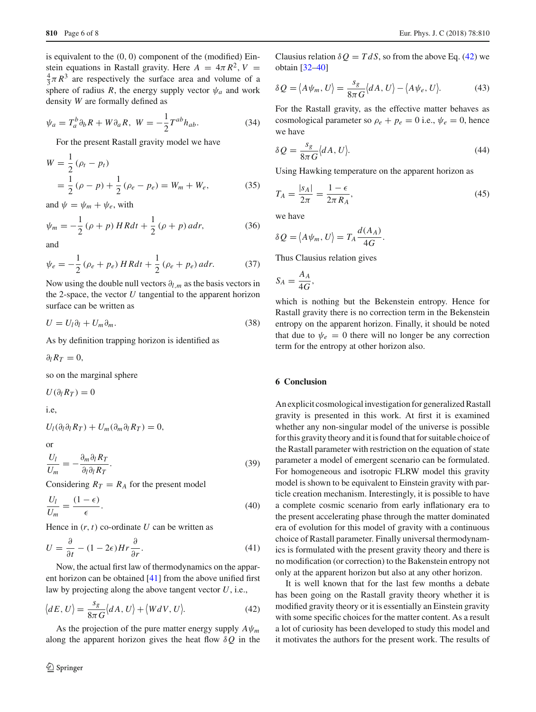is equivalent to the  $(0, 0)$  component of the (modified) Einstein equations in Rastall gravity. Here  $A = 4\pi R^2$ ,  $V =$  $\frac{4}{3}\pi R^3$  are respectively the surface area and volume of a sphere of radius *R*, the energy supply vector  $\psi_a$  and work density *W* are formally defined as

$$
\psi_a = T_a^b \partial_b R + W \partial_a R, \ W = -\frac{1}{2} T^{ab} h_{ab}.
$$
 (34)

For the present Rastall gravity model we have

$$
W = \frac{1}{2} (\rho_t - p_t)
$$
  
=  $\frac{1}{2} (\rho - p) + \frac{1}{2} (\rho_e - p_e) = W_m + W_e,$  (35)

and  $\psi = \psi_m + \psi_e$ , with

$$
\psi_m = -\frac{1}{2} (\rho + p) HRdt + \frac{1}{2} (\rho + p) adr, \tag{36}
$$

and

$$
\psi_e = -\frac{1}{2} (\rho_e + p_e) \, HRdt + \frac{1}{2} (\rho_e + p_e) \, adr. \tag{37}
$$

Now using the double null vectors ∂*l*,*<sup>m</sup>* as the basis vectors in the 2-space, the vector  $U$  tangential to the apparent horizon surface can be written as

$$
U = U_l \partial_l + U_m \partial_m. \tag{38}
$$

As by definition trapping horizon is identified as

 $\partial_l R_T = 0$ ,

so on the marginal sphere

$$
U(\partial_l R_T)=0
$$

i.e,

 $U_l(\partial_l\partial_lR_T) + U_m(\partial_m\partial_lR_T) = 0,$ 

or

$$
\frac{U_l}{U_m} = -\frac{\partial_m \partial_l R_T}{\partial_l \partial_l R_T}.
$$
\n(39)

Considering  $R_T = R_A$  for the present model

$$
\frac{U_l}{U_m} = \frac{(1 - \epsilon)}{\epsilon}.
$$
\n(40)

Hence in  $(r, t)$  co-ordinate  $U$  can be written as

$$
U = \frac{\partial}{\partial t} - (1 - 2\epsilon) H r \frac{\partial}{\partial r}.
$$
\n(41)

Now, the actual first law of thermodynamics on the apparent horizon can be obtained [\[41](#page-7-8)] from the above unified first law by projecting along the above tangent vector *U*, i.e.,

<span id="page-5-1"></span>
$$
\langle dE, U \rangle = \frac{s_g}{8\pi G} \langle dA, U \rangle + \langle WdV, U \rangle.
$$
 (42)

As the projection of the pure matter energy supply  $A\psi_m$ along the apparent horizon gives the heat flow δ*Q* in the Clausius relation  $\delta Q = T dS$ , so from the above Eq. [\(42\)](#page-5-1) we obtain [\[32](#page-7-6)[–40\]](#page-7-10)

$$
\delta Q = \langle A\psi_m, U \rangle = \frac{s_g}{8\pi G} \langle dA, U \rangle - \langle A\psi_e, U \rangle.
$$
 (43)

For the Rastall gravity, as the effective matter behaves as cosmological parameter so  $\rho_e + p_e = 0$  i.e.,  $\psi_e = 0$ , hence we have

$$
\delta Q = \frac{s_g}{8\pi G} \langle dA, U \rangle.
$$
\n(44)

Using Hawking temperature on the apparent horizon as

$$
T_A = \frac{|s_A|}{2\pi} = \frac{1 - \epsilon}{2\pi R_A},\tag{45}
$$

we have

$$
\delta Q = \langle A \psi_m, U \rangle = T_A \frac{d(A_A)}{4G}.
$$

Thus Clausius relation gives

$$
S_A = \frac{A_A}{4G},
$$

which is nothing but the Bekenstein entropy. Hence for Rastall gravity there is no correction term in the Bekenstein entropy on the apparent horizon. Finally, it should be noted that due to  $\psi_e = 0$  there will no longer be any correction term for the entropy at other horizon also.

## <span id="page-5-0"></span>**6 Conclusion**

An explicit cosmological investigation for generalized Rastall gravity is presented in this work. At first it is examined whether any non-singular model of the universe is possible for this gravity theory and it is found that for suitable choice of the Rastall parameter with restriction on the equation of state parameter a model of emergent scenario can be formulated. For homogeneous and isotropic FLRW model this gravity model is shown to be equivalent to Einstein gravity with particle creation mechanism. Interestingly, it is possible to have a complete cosmic scenario from early inflationary era to the present accelerating phase through the matter dominated era of evolution for this model of gravity with a continuous choice of Rastall parameter. Finally universal thermodynamics is formulated with the present gravity theory and there is no modification (or correction) to the Bakenstein entropy not only at the apparent horizon but also at any other horizon.

It is well known that for the last few months a debate has been going on the Rastall gravity theory whether it is modified gravity theory or it is essentially an Einstein gravity with some specific choices for the matter content. As a result a lot of curiosity has been developed to study this model and it motivates the authors for the present work. The results of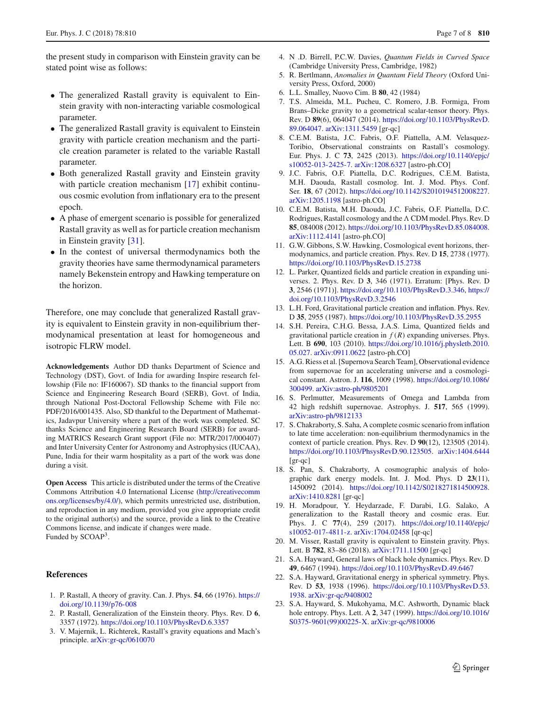- The generalized Rastall gravity is equivalent to Einstein gravity with non-interacting variable cosmological parameter.
- The generalized Rastall gravity is equivalent to Einstein gravity with particle creation mechanism and the particle creation parameter is related to the variable Rastall parameter.
- Both generalized Rastall gravity and Einstein gravity with particle creation mechanism [\[17](#page-6-14)] exhibit continuous cosmic evolution from inflationary era to the present epoch.
- A phase of emergent scenario is possible for generalized Rastall gravity as well as for particle creation mechanism in Einstein gravity [\[31](#page-7-11)].
- In the contest of universal thermodynamics both the gravity theories have same thermodynamical parameters namely Bekenstein entropy and Hawking temperature on the horizon.

Therefore, one may conclude that generalized Rastall gravity is equivalent to Einstein gravity in non-equilibrium thermodynamical presentation at least for homogeneous and isotropic FLRW model.

**Acknowledgements** Author DD thanks Department of Science and Technology (DST), Govt. of India for awarding Inspire research fellowship (File no: IF160067). SD thanks to the financial support from Science and Engineering Research Board (SERB), Govt. of India, through National Post-Doctoral Fellowship Scheme with File no: PDF/2016/001435. Also, SD thankful to the Department of Mathematics, Jadavpur University where a part of the work was completed. SC thanks Science and Engineering Research Board (SERB) for awarding MATRICS Research Grant support (File no: MTR/2017/000407) and Inter University Center for Astronomy and Astrophysics (IUCAA), Pune, India for their warm hospitality as a part of the work was done during a visit.

**Open Access** This article is distributed under the terms of the Creative Commons Attribution 4.0 International License [\(http://creativecomm](http://creativecommons.org/licenses/by/4.0/) [ons.org/licenses/by/4.0/\)](http://creativecommons.org/licenses/by/4.0/), which permits unrestricted use, distribution, and reproduction in any medium, provided you give appropriate credit to the original author(s) and the source, provide a link to the Creative Commons license, and indicate if changes were made. Funded by SCOAP<sup>3</sup>.

## **References**

- <span id="page-6-0"></span>1. P. Rastall, A theory of gravity. Can. J. Phys. **54**, 66 (1976). [https://](https://doi.org/10.1139/p76-008) [doi.org/10.1139/p76-008](https://doi.org/10.1139/p76-008)
- <span id="page-6-1"></span>2. P. Rastall, Generalization of the Einstein theory. Phys. Rev. D **6**, 3357 (1972). <https://doi.org/10.1103/PhysRevD.6.3357>
- <span id="page-6-2"></span>3. V. Majernik, L. Richterek, Rastall's gravity equations and Mach's principle. [arXiv:gr-qc/0610070](http://arxiv.org/abs/gr-qc/0610070)
- <span id="page-6-3"></span>4. N .D. Birrell, P.C.W. Davies, *Quantum Fields in Curved Space* (Cambridge University Press, Cambridge, 1982)
- <span id="page-6-4"></span>5. R. Bertlmann, *Anomalies in Quantam Field Theory* (Oxford University Press, Oxford, 2000)
- <span id="page-6-5"></span>6. L.L. Smalley, Nuovo Cim. B **80**, 42 (1984)
- <span id="page-6-6"></span>7. T.S. Almeida, M.L. Pucheu, C. Romero, J.B. Formiga, From Brans–Dicke gravity to a geometrical scalar-tensor theory. Phys. Rev. D **89**(6), 064047 (2014). [https://doi.org/10.1103/PhysRevD.](https://doi.org/10.1103/PhysRevD.89.064047) [89.064047.](https://doi.org/10.1103/PhysRevD.89.064047) [arXiv:1311.5459](http://arxiv.org/abs/1311.5459) [gr-qc]
- <span id="page-6-7"></span>8. C.E.M. Batista, J.C. Fabris, O.F. Piattella, A.M. Velasquez-Toribio, Observational constraints on Rastall's cosmology. Eur. Phys. J. C **73**, 2425 (2013). [https://doi.org/10.1140/epjc/](https://doi.org/10.1140/epjc/s10052-013-2425-7) [s10052-013-2425-7.](https://doi.org/10.1140/epjc/s10052-013-2425-7) [arXiv:1208.6327](http://arxiv.org/abs/1208.6327) [astro-ph.CO]
- 9. J.C. Fabris, O.F. Piattella, D.C. Rodrigues, C.E.M. Batista, M.H. Daouda, Rastall cosmolog. Int. J. Mod. Phys. Conf. Ser. **18**, 67 (2012). [https://doi.org/10.1142/S2010194512008227.](https://doi.org/10.1142/S2010194512008227) [arXiv:1205.1198](http://arxiv.org/abs/1205.1198) [astro-ph.CO]
- <span id="page-6-8"></span>10. C.E.M. Batista, M.H. Daouda, J.C. Fabris, O.F. Piattella, D.C. Rodrigues, Rastall cosmology and the  $\Lambda$  CDM model. Phys. Rev. D **85**, 084008 (2012). [https://doi.org/10.1103/PhysRevD.85.084008.](https://doi.org/10.1103/PhysRevD.85.084008) [arXiv:1112.4141](http://arxiv.org/abs/1112.4141) [astro-ph.CO]
- 11. G.W. Gibbons, S.W. Hawking, Cosmological event horizons, thermodynamics, and particle creation. Phys. Rev. D **15**, 2738 (1977). <https://doi.org/10.1103/PhysRevD.15.2738>
- 12. L. Parker, Quantized fields and particle creation in expanding universes. 2. Phys. Rev. D **3**, 346 (1971). Erratum: [Phys. Rev. D **3**, 2546 (1971)]. [https://doi.org/10.1103/PhysRevD.3.346,](https://doi.org/10.1103/PhysRevD.3.346) [https://](https://doi.org/10.1103/PhysRevD.3.2546) [doi.org/10.1103/PhysRevD.3.2546](https://doi.org/10.1103/PhysRevD.3.2546)
- 13. L.H. Ford, Gravitational particle creation and inflation. Phys. Rev. D **35**, 2955 (1987). <https://doi.org/10.1103/PhysRevD.35.2955>
- <span id="page-6-9"></span>14. S.H. Pereira, C.H.G. Bessa, J.A.S. Lima, Quantized fields and gravitational particle creation in  $f(R)$  expanding universes. Phys. Lett. B **690**, 103 (2010). [https://doi.org/10.1016/j.physletb.2010.](https://doi.org/10.1016/j.physletb.2010.05.027) [05.027.](https://doi.org/10.1016/j.physletb.2010.05.027) [arXiv:0911.0622](http://arxiv.org/abs/0911.0622) [astro-ph.CO]
- <span id="page-6-10"></span>15. A.G. Riess et al. [Supernova Search Team], Observational evidence from supernovae for an accelerating universe and a cosmological constant. Astron. J. **116**, 1009 (1998). [https://doi.org/10.1086/](https://doi.org/10.1086/300499) [300499.](https://doi.org/10.1086/300499) [arXiv:astro-ph/9805201](http://arxiv.org/abs/astro-ph/9805201)
- <span id="page-6-11"></span>16. S. Perlmutter, Measurements of Omega and Lambda from 42 high redshift supernovae. Astrophys. J. **517**, 565 (1999). [arXiv:astro-ph/9812133](http://arxiv.org/abs/astro-ph/9812133)
- <span id="page-6-14"></span>17. S. Chakraborty, S. Saha, A complete cosmic scenario from inflation to late time acceleration: non-equilibrium thermodynamics in the context of particle creation. Phys. Rev. D **90**(12), 123505 (2014). [https://doi.org/10.1103/PhsysRevD.90.123505.](https://doi.org/10.1103/PhsysRevD.90.123505) [arXiv:1404.6444](http://arxiv.org/abs/1404.6444) [gr-qc]
- <span id="page-6-15"></span>18. S. Pan, S. Chakraborty, A cosmographic analysis of holographic dark energy models. Int. J. Mod. Phys. D **23**(11), 1450092 (2014). [https://doi.org/10.1142/S0218271814500928.](https://doi.org/10.1142/S0218271814500928) [arXiv:1410.8281](http://arxiv.org/abs/1410.8281) [gr-qc]
- <span id="page-6-12"></span>19. H. Moradpour, Y. Heydarzade, F. Darabi, I.G. Salako, A generalization to the Rastall theory and cosmic eras. Eur. Phys. J. C **77**(4), 259 (2017). [https://doi.org/10.1140/epjc/](https://doi.org/10.1140/epjc/s10052-017-4811-z) [s10052-017-4811-z.](https://doi.org/10.1140/epjc/s10052-017-4811-z) [arXiv:1704.02458](http://arxiv.org/abs/1704.02458) [qr-qc]
- <span id="page-6-13"></span>20. M. Visser, Rastall gravity is equivalent to Einstein gravity. Phys. Lett. B **782**, 83–86 (2018). [arXiv:1711.11500](http://arxiv.org/abs/1711.11500) [gr-qc]
- <span id="page-6-16"></span>21. S.A. Hayward, General laws of black hole dynamics. Phys. Rev. D **49**, 6467 (1994). <https://doi.org/10.1103/PhysRevD.49.6467>
- 22. S.A. Hayward, Gravitational energy in spherical symmetry. Phys. Rev. D **53**, 1938 (1996). [https://doi.org/10.1103/PhysRevD.53.](https://doi.org/10.1103/PhysRevD.53.1938) [1938.](https://doi.org/10.1103/PhysRevD.53.1938) [arXiv:gr-qc/9408002](http://arxiv.org/abs/gr-qc/9408002)
- 23. S.A. Hayward, S. Mukohyama, M.C. Ashworth, Dynamic black hole entropy. Phys. Lett. A **2**, 347 (1999). [https://doi.org/10.1016/](https://doi.org/10.1016/S0375-9601(99)00225-X) [S0375-9601\(99\)00225-X.](https://doi.org/10.1016/S0375-9601(99)00225-X) [arXiv:gr-qc/9810006](http://arxiv.org/abs/gr-qc/9810006)